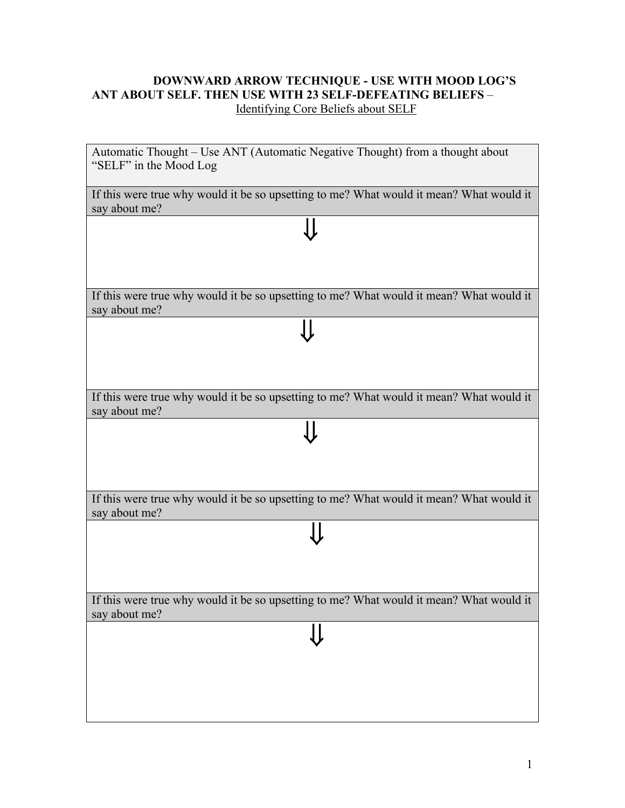## **DOWNWARD ARROW TECHNIQUE - USE WITH MOOD LOG'S ANT ABOUT SELF. THEN USE WITH 23 SELF-DEFEATING BELIEFS** – Identifying Core Beliefs about SELF

| Automatic Thought - Use ANT (Automatic Negative Thought) from a thought about<br>"SELF" in the Mood Log  |
|----------------------------------------------------------------------------------------------------------|
| If this were true why would it be so upsetting to me? What would it mean? What would it<br>say about me? |
|                                                                                                          |
|                                                                                                          |
| If this were true why would it be so upsetting to me? What would it mean? What would it<br>say about me? |
|                                                                                                          |
|                                                                                                          |
| If this were true why would it be so upsetting to me? What would it mean? What would it<br>say about me? |
|                                                                                                          |
|                                                                                                          |
| If this were true why would it be so upsetting to me? What would it mean? What would it<br>say about me? |
|                                                                                                          |
|                                                                                                          |
| If this were true why would it be so upsetting to me? What would it mean? What would it<br>say about me? |
|                                                                                                          |
|                                                                                                          |
|                                                                                                          |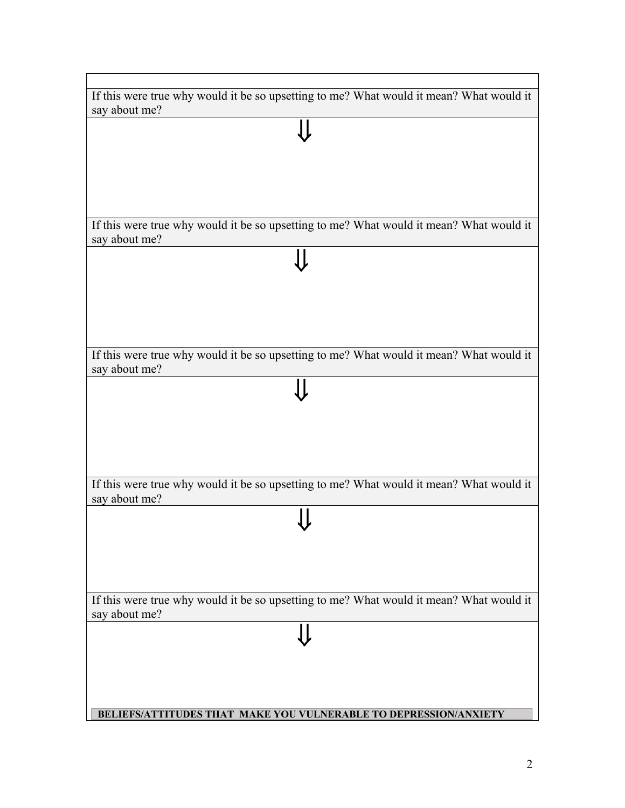| If this were true why would it be so upsetting to me? What would it mean? What would it |
|-----------------------------------------------------------------------------------------|
| say about me?                                                                           |
|                                                                                         |
|                                                                                         |
|                                                                                         |
|                                                                                         |
|                                                                                         |
|                                                                                         |
|                                                                                         |
|                                                                                         |
| If this were true why would it be so upsetting to me? What would it mean? What would it |
| say about me?                                                                           |
|                                                                                         |
|                                                                                         |
|                                                                                         |
|                                                                                         |
|                                                                                         |
|                                                                                         |
|                                                                                         |
|                                                                                         |
| If this were true why would it be so upsetting to me? What would it mean? What would it |
| say about me?                                                                           |
|                                                                                         |
|                                                                                         |
|                                                                                         |
|                                                                                         |
|                                                                                         |
|                                                                                         |
|                                                                                         |
|                                                                                         |
| If this were true why would it be so upsetting to me? What would it mean? What would it |
| say about me?                                                                           |
|                                                                                         |
|                                                                                         |
|                                                                                         |
|                                                                                         |
|                                                                                         |
|                                                                                         |
| If this were true why would it be so upsetting to me? What would it mean? What would it |
| say about me?                                                                           |
|                                                                                         |
|                                                                                         |
|                                                                                         |
|                                                                                         |
|                                                                                         |
|                                                                                         |
|                                                                                         |
| BELIEFS/ATTITUDES THAT MAKE YOU VULNERABLE TO DEPRESSION/ANXIETY                        |